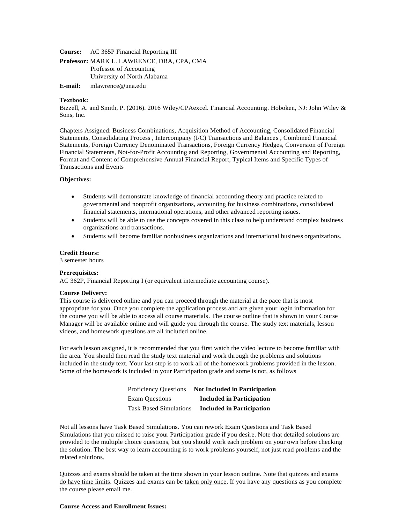**Course:** AC 365P Financial Reporting III

**Professor:** MARK L. LAWRENCE, DBA, CPA, CMA Professor of Accounting University of North Alabama

**E-mail:** [mlawrence@una.edu](mailto:mlawrence@una.edu)

#### **Textbook:**

Bizzell, A. and Smith, P. (2016). 2016 Wiley/CPAexcel. Financial Accounting. Hoboken, NJ: John Wiley & Sons, Inc.

Chapters Assigned: Business Combinations, Acquisition Method of Accounting, Consolidated Financial Statements, Consolidating Process , Intercompany (I/C) Transactions and Balances , Combined Financial Statements, Foreign Currency Denominated Transactions, Foreign Currency Hedges, Conversion of Foreign Financial Statements, Not-for-Profit Accounting and Reporting, Governmental Accounting and Reporting, Format and Content of Comprehensive Annual Financial Report, Typical Items and Specific Types of Transactions and Events

#### **Objectives:**

- Students will demonstrate knowledge of financial accounting theory and practice related to governmental and nonprofit organizations, accounting for business combinations, consolidated financial statements, international operations, and other advanced reporting issues.
- Students will be able to use the concepts covered in this class to help understand complex business organizations and transactions.
- Students will become familiar nonbusiness organizations and international business organizations.

#### **Credit Hours:**

3 semester hours

#### **Prerequisites:**

AC 362P, Financial Reporting I (or equivalent intermediate accounting course).

#### **Course Delivery:**

This course is delivered online and you can proceed through the material at the pace that is most appropriate for you. Once you complete the application process and are given your login information for the course you will be able to access all course materials. The course outline that is shown in your Course Manager will be available online and will guide you through the course. The study text materials, lesson videos, and homework questions are all included online.

For each lesson assigned, it is recommended that you first watch the video lecture to become familiar with the area. You should then read the study text material and work through the problems and solutions included in the study text. Your last step is to work all of the homework problems provided in the lesson. Some of the homework is included in your Participation grade and some is not, as follows

| <b>Proficiency Questions</b>  | <b>Not Included in Participation</b> |
|-------------------------------|--------------------------------------|
| <b>Exam Questions</b>         | <b>Included in Participation</b>     |
| <b>Task Based Simulations</b> | <b>Included in Participation</b>     |

Not all lessons have Task Based Simulations. You can rework Exam Questions and Task Based Simulations that you missed to raise your Participation grade if you desire. Note that detailed solutions are provided to the multiple choice questions, but you should work each problem on your own before checking the solution. The best way to learn accounting is to work problems yourself, not just read problems and the related solutions.

Quizzes and exams should be taken at the time shown in your lesson outline. Note that quizzes and exams do have time limits. Quizzes and exams can be taken only once. If you have any questions as you complete the course please email me.

#### **Course Access and Enrollment Issues:**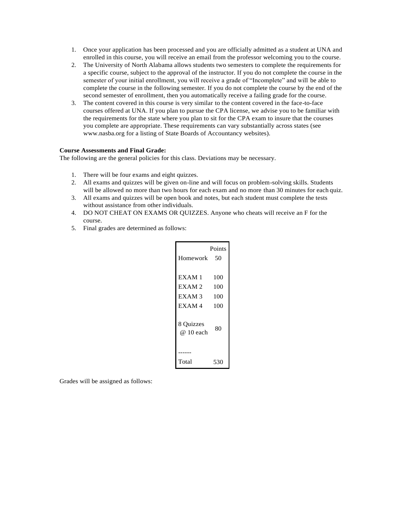- 1. Once your application has been processed and you are officially admitted as a student at UNA and enrolled in this course, you will receive an email from the professor welcoming you to the course.
- 2. The University of North Alabama allows students two semesters to complete the requirements for a specific course, subject to the approval of the instructor. If you do not complete the course in the semester of your initial enrollment, you will receive a grade of "Incomplete" and will be able to complete the course in the following semester. If you do not complete the course by the end of the second semester of enrollment, then you automatically receive a failing grade for the course.
- 3. The content covered in this course is very similar to the content covered in the face-to-face courses offered at UNA. If you plan to pursue the CPA license, we advise you to be familiar with the requirements for the state where you plan to sit for the CPA exam to insure that the courses you complete are appropriate. These requirements can vary substantially across states (see [www.nasba.org f](http://www.nasba.org/)or a listing of State Boards of Accountancy websites).

# **Course Assessments and Final Grade:**

The following are the general policies for this class. Deviations may be necessary.

- 1. There will be four exams and eight quizzes.
- 2. All exams and quizzes will be given on-line and will focus on problem-solving skills. Students will be allowed no more than two hours for each exam and no more than 30 minutes for each quiz.
- 3. All exams and quizzes will be open book and notes, but each student must complete the tests without assistance from other individuals.
- 4. DO NOT CHEAT ON EXAMS OR QUIZZES. Anyone who cheats will receive an F for the course.
- 5. Final grades are determined as follows:

| Homework                | Points<br>50 |
|-------------------------|--------------|
| EXAM <sub>1</sub>       | 100          |
| EXAM <sub>2</sub>       | 100          |
| EXAM <sub>3</sub>       | 100          |
| EXAM4                   | 100          |
| 8 Quizzes<br>$@10$ each | 80           |
|                         |              |
| Total                   | 530          |

Grades will be assigned as follows: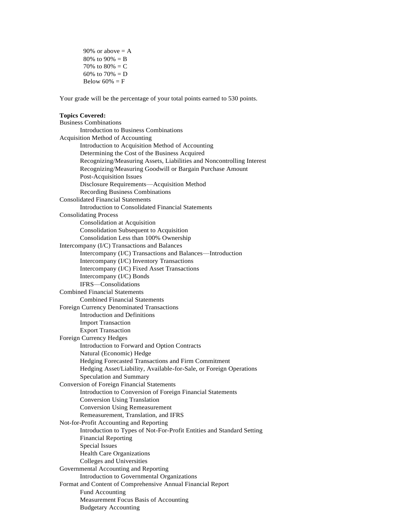90% or above  $= A$ 80% to  $90% = B$ 70% to  $80% = C$ 60% to  $70% = D$ Below  $60\% = F$ 

Your grade will be the percentage of your total points earned to 530 points.

#### **Topics Covered:**

Business Combinations Introduction to Business Combinations Acquisition Method of Accounting Introduction to Acquisition Method of Accounting Determining the Cost of the Business Acquired Recognizing/Measuring Assets, Liabilities and Noncontrolling Interest Recognizing/Measuring Goodwill or Bargain Purchase Amount Post-Acquisition Issues Disclosure Requirements—Acquisition Method Recording Business Combinations Consolidated Financial Statements Introduction to Consolidated Financial Statements Consolidating Process Consolidation at Acquisition Consolidation Subsequent to Acquisition Consolidation Less than 100% Ownership Intercompany (I/C) Transactions and Balances Intercompany (I/C) Transactions and Balances—Introduction Intercompany (I/C) Inventory Transactions Intercompany (I/C) Fixed Asset Transactions Intercompany (I/C) Bonds IFRS—Consolidations Combined Financial Statements Combined Financial Statements Foreign Currency Denominated Transactions Introduction and Definitions Import Transaction Export Transaction Foreign Currency Hedges Introduction to Forward and Option Contracts Natural (Economic) Hedge Hedging Forecasted Transactions and Firm Commitment Hedging Asset/Liability, Available-for-Sale, or Foreign Operations Speculation and Summary Conversion of Foreign Financial Statements Introduction to Conversion of Foreign Financial Statements Conversion Using Translation Conversion Using Remeasurement Remeasurement, Translation, and IFRS Not-for-Profit Accounting and Reporting Introduction to Types of Not-For-Profit Entities and Standard Setting Financial Reporting Special Issues Health Care Organizations Colleges and Universities Governmental Accounting and Reporting Introduction to Governmental Organizations Format and Content of Comprehensive Annual Financial Report Fund Accounting Measurement Focus Basis of Accounting Budgetary Accounting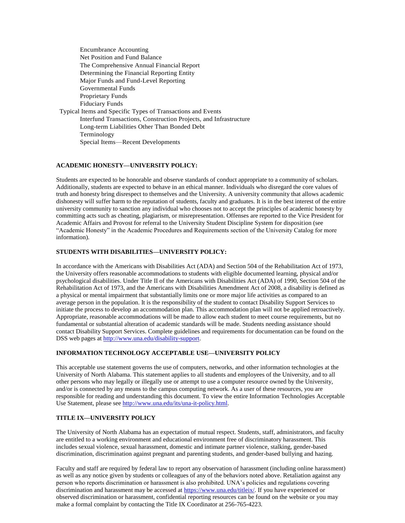Encumbrance Accounting Net Position and Fund Balance The Comprehensive Annual Financial Report Determining the Financial Reporting Entity Major Funds and Fund-Level Reporting Governmental Funds Proprietary Funds Fiduciary Funds Typical Items and Specific Types of Transactions and Events Interfund Transactions, Construction Projects, and Infrastructure Long-term Liabilities Other Than Bonded Debt Terminology Special Items—Recent Developments

## **ACADEMIC HONESTY—UNIVERSITY POLICY:**

Students are expected to be honorable and observe standards of conduct appropriate to a community of scholars. Additionally, students are expected to behave in an ethical manner. Individuals who disregard the core values of truth and honesty bring disrespect to themselves and the University. A university community that allows academic dishonesty will suffer harm to the reputation of students, faculty and graduates. It is in the best interest of the entire university community to sanction any individual who chooses not to accept the principles of academic honesty by committing acts such as cheating, plagiarism, or misrepresentation. Offenses are reported to the Vice President for Academic Affairs and Provost for referral to the University Student Discipline System for disposition (see "Academic Honesty" in the Academic Procedures and Requirements section of the University Catalog for more information).

## **STUDENTS WITH DISABILITIES—UNIVERSITY POLICY:**

In accordance with the Americans with Disabilities Act (ADA) and Section 504 of the Rehabilitation Act of 1973, the University offers reasonable accommodations to students with eligible documented learning, physical and/or psychological disabilities. Under Title II of the Americans with Disabilities Act (ADA) of 1990, Section 504 of the Rehabilitation Act of 1973, and the Americans with Disabilities Amendment Act of 2008, a disability is defined as a physical or mental impairment that substantially limits one or more major life activities as compared to an average person in the population. It is the responsibility of the student to contact Disability Support Services to initiate the process to develop an accommodation plan. This accommodation plan will not be applied retroactively. Appropriate, reasonable accommodations will be made to allow each student to meet course requirements, but no fundamental or substantial alteration of academic standards will be made. Students needing assistance should contact Disability Support Services. Complete guidelines and requirements for documentation can be found on the DSS web pages at [http://www.una.edu/disability-support.](http://www.una.edu/disability-support)

## **INFORMATION TECHNOLOGY ACCEPTABLE USE—UNIVERSITY POLICY**

This acceptable use statement governs the use of computers, networks, and other information technologies at the University of North Alabama. This statement applies to all students and employees of the University, and to all other persons who may legally or illegally use or attempt to use a computer resource owned by the University, and/or is connected by any means to the campus computing network. As a user of these resources, you are responsible for reading and understanding this document. To view the entire Information Technologies Acceptable Use Statement, please se[e http://www.una.edu/its/una-it-policy.html.](http://www.una.edu/its/una-it-policy.html)

# **TITLE IX—UNIVERSITY POLICY**

The University of North Alabama has an expectation of mutual respect. Students, staff, administrators, and faculty are entitled to a working environment and educational environment free of discriminatory harassment. This includes sexual violence, sexual harassment, domestic and intimate partner violence, stalking, gender-based discrimination, discrimination against pregnant and parenting students, and gender-based bullying and hazing.

Faculty and staff are required by federal law to report any observation of harassment (including online harassment) as well as any notice given by students or colleagues of any of the behaviors noted above. Retaliation against any person who reports discrimination or harassment is also prohibited. UNA's policies and regulations covering discrimination and harassment may be accessed at [https://www.una.edu/titleix/.](https://www.una.edu/titleix/) If you have experienced or observed discrimination or harassment, confidential reporting resources can be found on the website or you may make a formal complaint by contacting the Title IX Coordinator at 256-765-4223.